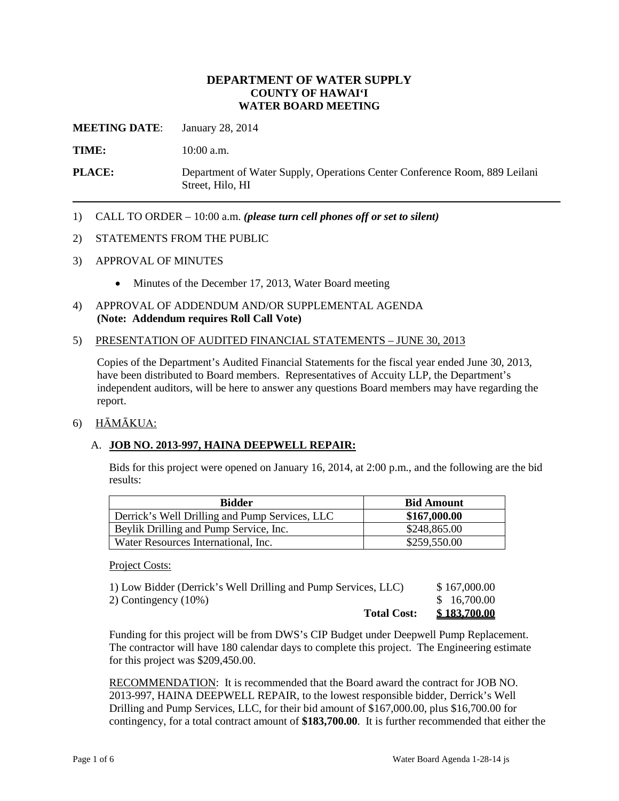## **DEPARTMENT OF WATER SUPPLY COUNTY OF HAWAI'I WATER BOARD MEETING**

**MEETING DATE**: January 28, 2014

**TIME:** 10:00 a.m.

**PLACE:** Department of Water Supply, Operations Center Conference Room, 889 Leilani Street, Hilo, HI

1) CALL TO ORDER – 10:00 a.m. *(please turn cell phones off or set to silent)*

#### 2) STATEMENTS FROM THE PUBLIC

- 3) APPROVAL OF MINUTES
	- Minutes of the December 17, 2013, Water Board meeting
- 4) APPROVAL OF ADDENDUM AND/OR SUPPLEMENTAL AGENDA **(Note: Addendum requires Roll Call Vote)**
- 5) PRESENTATION OF AUDITED FINANCIAL STATEMENTS JUNE 30, 2013

Copies of the Department's Audited Financial Statements for the fiscal year ended June 30, 2013, have been distributed to Board members. Representatives of Accuity LLP, the Department's independent auditors, will be here to answer any questions Board members may have regarding the report.

#### 6) HĀMĀKUA:

### A. **JOB NO. 2013-997, HAINA DEEPWELL REPAIR:**

Bids for this project were opened on January 16, 2014, at 2:00 p.m., and the following are the bid results:

| <b>Bidder</b>                                  | <b>Bid Amount</b> |
|------------------------------------------------|-------------------|
| Derrick's Well Drilling and Pump Services, LLC | \$167,000.00      |
| Beylik Drilling and Pump Service, Inc.         | \$248,865.00      |
| Water Resources International, Inc.            | \$259,550.00      |

#### Project Costs:

| 1) Low Bidder (Derrick's Well Drilling and Pump Services, LLC) | \$167,000.00        |
|----------------------------------------------------------------|---------------------|
| 2) Contingency (10%)                                           | \$16,700.00         |
| <b>Total Cost:</b>                                             | <u>\$183,700.00</u> |

Funding for this project will be from DWS's CIP Budget under Deepwell Pump Replacement. The contractor will have 180 calendar days to complete this project. The Engineering estimate for this project was \$209,450.00.

RECOMMENDATION: It is recommended that the Board award the contract for JOB NO. 2013-997, HAINA DEEPWELL REPAIR, to the lowest responsible bidder, Derrick's Well Drilling and Pump Services, LLC, for their bid amount of \$167,000.00, plus \$16,700.00 for contingency, for a total contract amount of **\$183,700.00**. It is further recommended that either the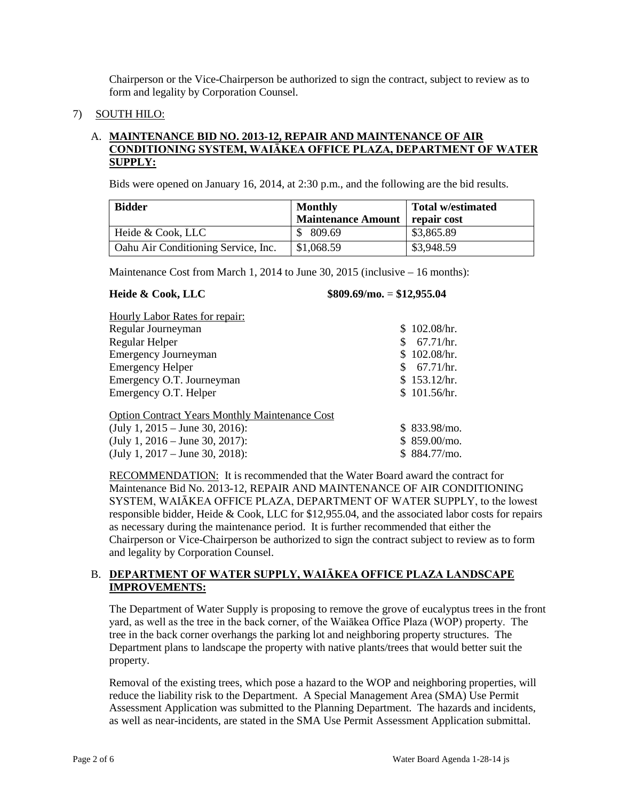Chairperson or the Vice-Chairperson be authorized to sign the contract, subject to review as to form and legality by Corporation Counsel.

7) SOUTH HILO:

# A. **MAINTENANCE BID NO. 2013-12, REPAIR AND MAINTENANCE OF AIR CONDITIONING SYSTEM, WAIĀKEA OFFICE PLAZA, DEPARTMENT OF WATER SUPPLY:**

Bids were opened on January 16, 2014, at 2:30 p.m., and the following are the bid results.

| <b>Bidder</b>                              | <b>Monthly</b><br><b>Maintenance Amount</b> | <b>Total w/estimated</b><br>repair cost |  |  |  |  |
|--------------------------------------------|---------------------------------------------|-----------------------------------------|--|--|--|--|
| Heide & Cook, LLC                          | \$809.69                                    | \$3,865.89                              |  |  |  |  |
| <b>Oahu Air Conditioning Service, Inc.</b> | \$1,068.59                                  | \$3,948.59                              |  |  |  |  |

Maintenance Cost from March 1, 2014 to June 30, 2015 (inclusive – 16 months):

#### **Heide & Cook, LLC \$809.69/mo.** = **\$12,955.04**

|  |  | - - - - - |  | __ | _____ |  |  |  |  | <br>__ |  |  |
|--|--|-----------|--|----|-------|--|--|--|--|--------|--|--|
|  |  |           |  |    |       |  |  |  |  |        |  |  |
|  |  |           |  |    |       |  |  |  |  |        |  |  |
|  |  |           |  |    |       |  |  |  |  |        |  |  |
|  |  |           |  |    |       |  |  |  |  |        |  |  |

| <b>Hourly Labor Rates for repair:</b>                 |                |
|-------------------------------------------------------|----------------|
| Regular Journeyman                                    | \$102.08/hr.   |
| Regular Helper                                        | 67.71/hr.      |
| <b>Emergency Journeyman</b>                           | \$102.08/hr.   |
| <b>Emergency Helper</b>                               | 67.71/hr.      |
| Emergency O.T. Journeyman                             | \$153.12/hr.   |
| Emergency O.T. Helper                                 | \$101.56/hr.   |
| <b>Option Contract Years Monthly Maintenance Cost</b> |                |
| (July 1, $2015 -$ June 30, 2016):                     | $$833.98/m0$ . |
| (July 1, 2016 – June 30, 2017):                       | \$859.00/mo.   |

(July 1, 2017 – June 30, 2018): \$ 884.77/mo.

RECOMMENDATION: It is recommended that the Water Board award the contract for Maintenance Bid No. 2013-12, REPAIR AND MAINTENANCE OF AIR CONDITIONING SYSTEM, WAIĀKEA OFFICE PLAZA, DEPARTMENT OF WATER SUPPLY, to the lowest responsible bidder, Heide & Cook, LLC for \$12,955.04, and the associated labor costs for repairs as necessary during the maintenance period. It is further recommended that either the Chairperson or Vice-Chairperson be authorized to sign the contract subject to review as to form and legality by Corporation Counsel.

## B. **DEPARTMENT OF WATER SUPPLY, WAIĀKEA OFFICE PLAZA LANDSCAPE IMPROVEMENTS:**

The Department of Water Supply is proposing to remove the grove of eucalyptus trees in the front yard, as well as the tree in the back corner, of the Waiākea Office Plaza (WOP) property. The tree in the back corner overhangs the parking lot and neighboring property structures. The Department plans to landscape the property with native plants/trees that would better suit the property.

Removal of the existing trees, which pose a hazard to the WOP and neighboring properties, will reduce the liability risk to the Department. A Special Management Area (SMA) Use Permit Assessment Application was submitted to the Planning Department. The hazards and incidents, as well as near-incidents, are stated in the SMA Use Permit Assessment Application submittal.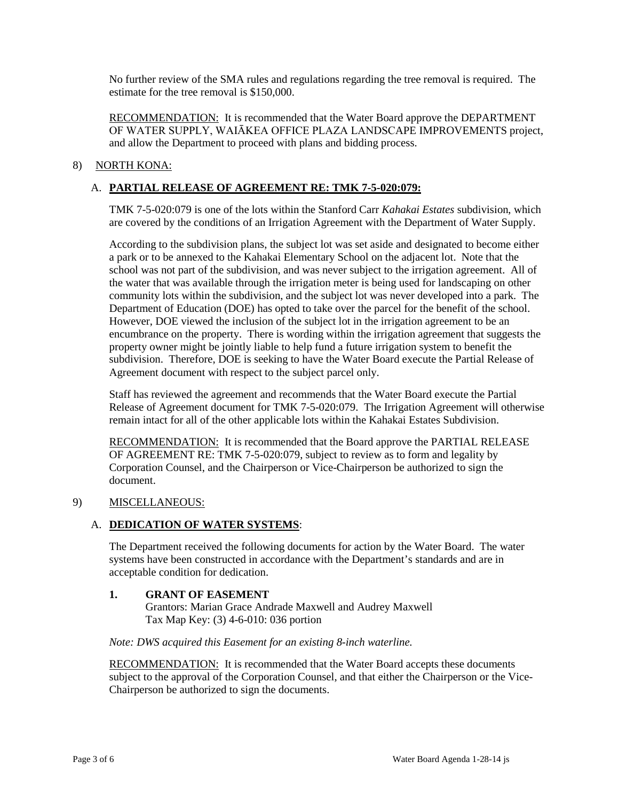No further review of the SMA rules and regulations regarding the tree removal is required. The estimate for the tree removal is \$150,000.

RECOMMENDATION: It is recommended that the Water Board approve the DEPARTMENT OF WATER SUPPLY, WAIĀKEA OFFICE PLAZA LANDSCAPE IMPROVEMENTS project, and allow the Department to proceed with plans and bidding process.

# 8) NORTH KONA:

# A. **PARTIAL RELEASE OF AGREEMENT RE: TMK 7-5-020:079:**

TMK 7-5-020:079 is one of the lots within the Stanford Carr *Kahakai Estates* subdivision, which are covered by the conditions of an Irrigation Agreement with the Department of Water Supply.

According to the subdivision plans, the subject lot was set aside and designated to become either a park or to be annexed to the Kahakai Elementary School on the adjacent lot. Note that the school was not part of the subdivision, and was never subject to the irrigation agreement. All of the water that was available through the irrigation meter is being used for landscaping on other community lots within the subdivision, and the subject lot was never developed into a park. The Department of Education (DOE) has opted to take over the parcel for the benefit of the school. However, DOE viewed the inclusion of the subject lot in the irrigation agreement to be an encumbrance on the property. There is wording within the irrigation agreement that suggests the property owner might be jointly liable to help fund a future irrigation system to benefit the subdivision. Therefore, DOE is seeking to have the Water Board execute the Partial Release of Agreement document with respect to the subject parcel only.

Staff has reviewed the agreement and recommends that the Water Board execute the Partial Release of Agreement document for TMK 7-5-020:079. The Irrigation Agreement will otherwise remain intact for all of the other applicable lots within the Kahakai Estates Subdivision.

RECOMMENDATION: It is recommended that the Board approve the PARTIAL RELEASE OF AGREEMENT RE: TMK 7-5-020:079, subject to review as to form and legality by Corporation Counsel, and the Chairperson or Vice-Chairperson be authorized to sign the document.

## 9) MISCELLANEOUS:

## A. **DEDICATION OF WATER SYSTEMS**:

The Department received the following documents for action by the Water Board. The water systems have been constructed in accordance with the Department's standards and are in acceptable condition for dedication.

### **1. GRANT OF EASEMENT**

Grantors: Marian Grace Andrade Maxwell and Audrey Maxwell Tax Map Key: (3) 4-6-010: 036 portion

#### *Note: DWS acquired this Easement for an existing 8-inch waterline.*

RECOMMENDATION: It is recommended that the Water Board accepts these documents subject to the approval of the Corporation Counsel, and that either the Chairperson or the Vice-Chairperson be authorized to sign the documents.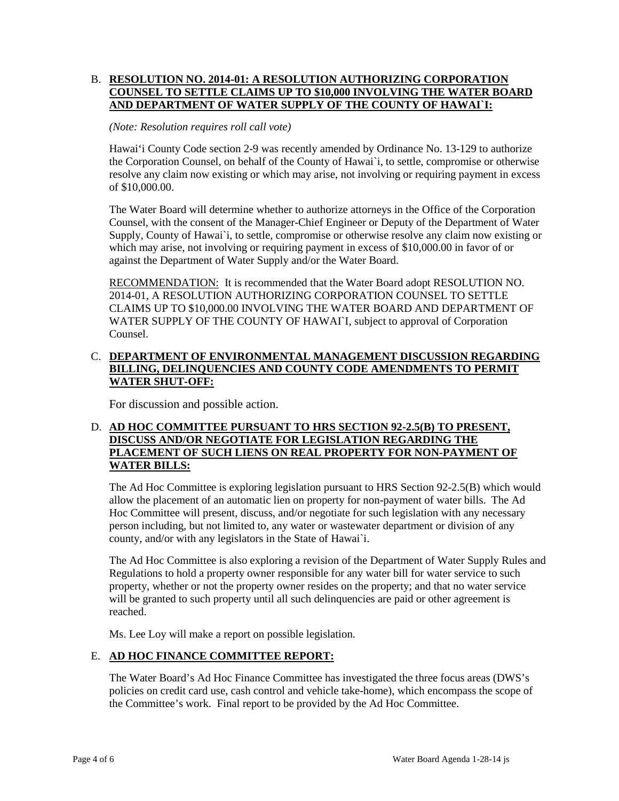## B. **RESOLUTION NO. 2014-01: A RESOLUTION AUTHORIZING CORPORATION COUNSEL TO SETTLE CLAIMS UP TO \$10,000 INVOLVING THE WATER BOARD AND DEPARTMENT OF WATER SUPPLY OF THE COUNTY OF HAWAI`I:**

### *(Note: Resolution requires roll call vote)*

Hawai'i County Code section 2-9 was recently amended by Ordinance No. 13-129 to authorize the Corporation Counsel, on behalf of the County of Hawai`i, to settle, compromise or otherwise resolve any claim now existing or which may arise, not involving or requiring payment in excess of \$10,000.00.

The Water Board will determine whether to authorize attorneys in the Office of the Corporation Counsel, with the consent of the Manager-Chief Engineer or Deputy of the Department of Water Supply, County of Hawai`i, to settle, compromise or otherwise resolve any claim now existing or which may arise, not involving or requiring payment in excess of \$10,000.00 in favor of or against the Department of Water Supply and/or the Water Board.

RECOMMENDATION: It is recommended that the Water Board adopt RESOLUTION NO. 2014-01, A RESOLUTION AUTHORIZING CORPORATION COUNSEL TO SETTLE CLAIMS UP TO \$10,000.00 INVOLVING THE WATER BOARD AND DEPARTMENT OF WATER SUPPLY OF THE COUNTY OF HAWAIL, subject to approval of Corporation Counsel.

## C. **DEPARTMENT OF ENVIRONMENTAL MANAGEMENT DISCUSSION REGARDING BILLING, DELINQUENCIES AND COUNTY CODE AMENDMENTS TO PERMIT WATER SHUT-OFF:**

For discussion and possible action.

## D. **AD HOC COMMITTEE PURSUANT TO HRS SECTION 92-2.5(B) TO PRESENT, DISCUSS AND/OR NEGOTIATE FOR LEGISLATION REGARDING THE PLACEMENT OF SUCH LIENS ON REAL PROPERTY FOR NON-PAYMENT OF WATER BILLS:**

The Ad Hoc Committee is exploring legislation pursuant to HRS Section 92-2.5(B) which would allow the placement of an automatic lien on property for non-payment of water bills. The Ad Hoc Committee will present, discuss, and/or negotiate for such legislation with any necessary person including, but not limited to, any water or wastewater department or division of any county, and/or with any legislators in the State of Hawai`i.

The Ad Hoc Committee is also exploring a revision of the Department of Water Supply Rules and Regulations to hold a property owner responsible for any water bill for water service to such property, whether or not the property owner resides on the property; and that no water service will be granted to such property until all such delinquencies are paid or other agreement is reached.

Ms. Lee Loy will make a report on possible legislation.

# E. **AD HOC FINANCE COMMITTEE REPORT:**

The Water Board's Ad Hoc Finance Committee has investigated the three focus areas (DWS's policies on credit card use, cash control and vehicle take-home), which encompass the scope of the Committee's work. Final report to be provided by the Ad Hoc Committee.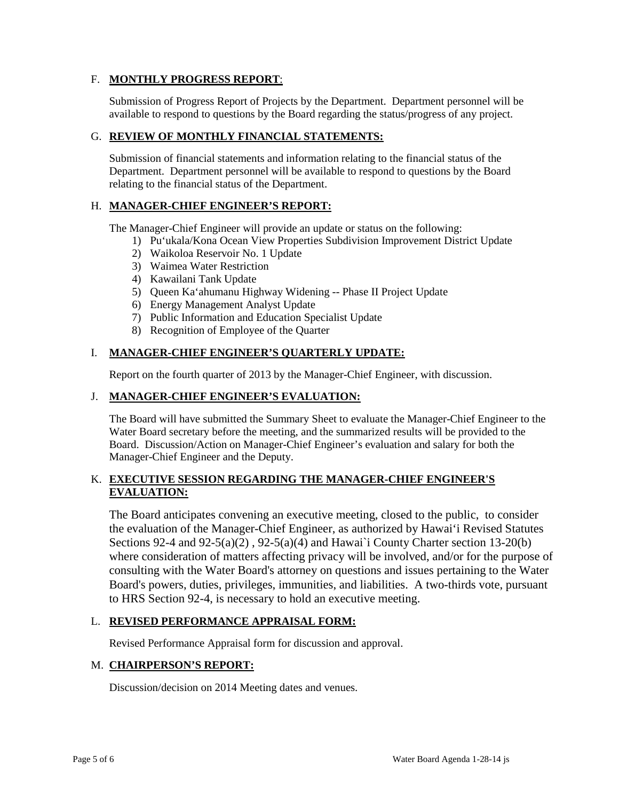## F. **MONTHLY PROGRESS REPORT**:

Submission of Progress Report of Projects by the Department. Department personnel will be available to respond to questions by the Board regarding the status/progress of any project.

# G. **REVIEW OF MONTHLY FINANCIAL STATEMENTS:**

Submission of financial statements and information relating to the financial status of the Department. Department personnel will be available to respond to questions by the Board relating to the financial status of the Department.

## H. **MANAGER-CHIEF ENGINEER'S REPORT:**

The Manager-Chief Engineer will provide an update or status on the following:

- 1) Pu'ukala/Kona Ocean View Properties Subdivision Improvement District Update
- 2) Waikoloa Reservoir No. 1 Update
- 3) Waimea Water Restriction
- 4) Kawailani Tank Update
- 5) Queen Ka'ahumanu Highway Widening -- Phase II Project Update
- 6) Energy Management Analyst Update
- 7) Public Information and Education Specialist Update
- 8) Recognition of Employee of the Quarter

## I. **MANAGER-CHIEF ENGINEER'S QUARTERLY UPDATE:**

Report on the fourth quarter of 2013 by the Manager-Chief Engineer, with discussion.

## J. **MANAGER-CHIEF ENGINEER'S EVALUATION:**

The Board will have submitted the Summary Sheet to evaluate the Manager-Chief Engineer to the Water Board secretary before the meeting, and the summarized results will be provided to the Board. Discussion/Action on Manager-Chief Engineer's evaluation and salary for both the Manager-Chief Engineer and the Deputy.

## K. **EXECUTIVE SESSION REGARDING THE MANAGER-CHIEF ENGINEER'S EVALUATION:**

The Board anticipates convening an executive meeting, closed to the public, to consider the evaluation of the Manager-Chief Engineer, as authorized by Hawai'i Revised Statutes Sections 92-4 and 92-5(a)(2), 92-5(a)(4) and Hawai'i County Charter section 13-20(b) where consideration of matters affecting privacy will be involved, and/or for the purpose of consulting with the Water Board's attorney on questions and issues pertaining to the Water Board's powers, duties, privileges, immunities, and liabilities. A two-thirds vote, pursuant to HRS Section 92-4, is necessary to hold an executive meeting.

### L. **REVISED PERFORMANCE APPRAISAL FORM:**

Revised Performance Appraisal form for discussion and approval.

### M. **CHAIRPERSON'S REPORT:**

Discussion/decision on 2014 Meeting dates and venues.